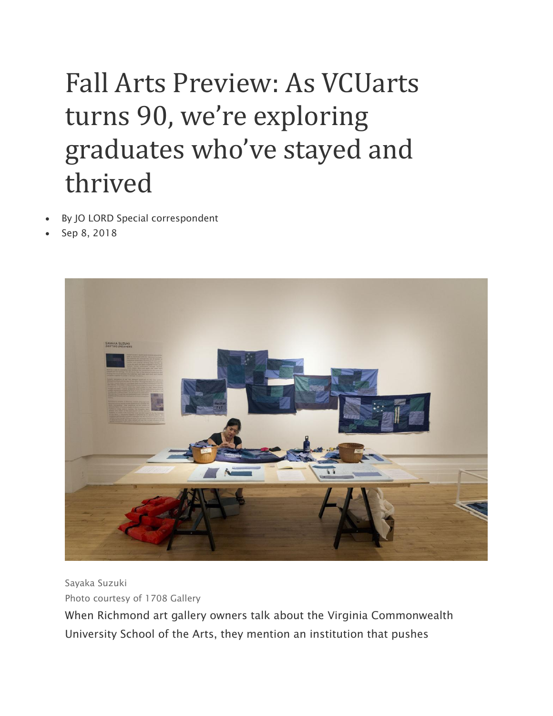## Fall Arts Preview: As VCUarts turns 90, we're exploring graduates who've stayed and thrived

- By JO LORD Special correspondent
- Sep 8, 2018



Sayaka Suzuki Photo courtesy of 1708 Gallery

When Richmond art gallery owners talk about the Virginia Commonwealth University School of the Arts, they mention an institution that pushes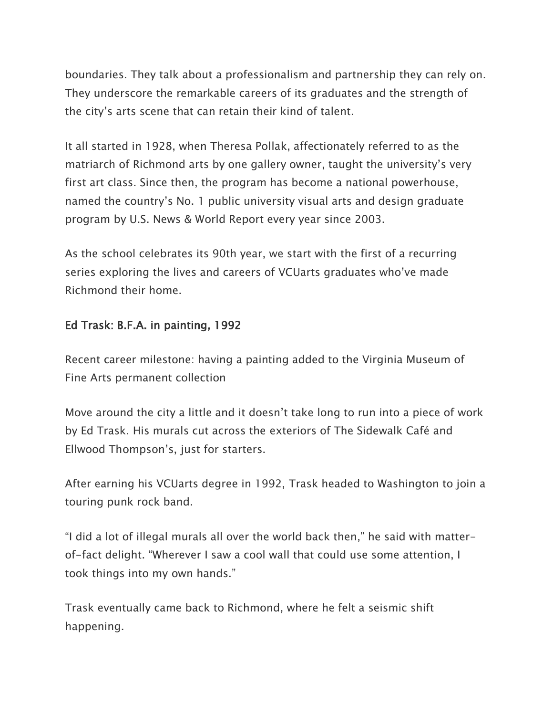boundaries. They talk about a professionalism and partnership they can rely on. They underscore the remarkable careers of its graduates and the strength of the city's arts scene that can retain their kind of talent.

It all started in 1928, when Theresa Pollak, affectionately referred to as the matriarch of Richmond arts by one gallery owner, taught the university's very first art class. Since then, the program has become a national powerhouse, named the country's No. 1 public university visual arts and design graduate program by U.S. News & World Report every year since 2003.

As the school celebrates its 90th year, we start with the first of a recurring series exploring the lives and careers of VCUarts graduates who've made Richmond their home.

## Ed Trask: B.F.A. in painting, 1992

Recent career milestone: having a painting added to the Virginia Museum of Fine Arts permanent collection

Move around the city a little and it doesn't take long to run into a piece of work by Ed Trask. His murals cut across the exteriors of The Sidewalk Café and Ellwood Thompson's, just for starters.

After earning his VCUarts degree in 1992, Trask headed to Washington to join a touring punk rock band.

"I did a lot of illegal murals all over the world back then," he said with matterof-fact delight. "Wherever I saw a cool wall that could use some attention, I took things into my own hands."

Trask eventually came back to Richmond, where he felt a seismic shift happening.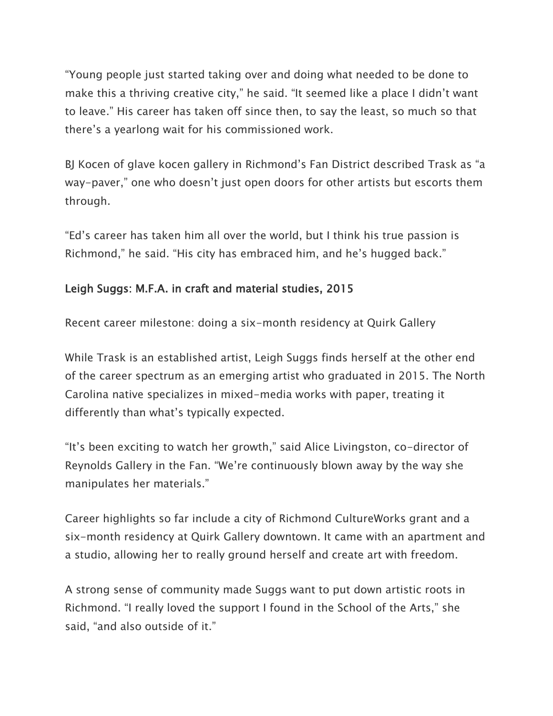"Young people just started taking over and doing what needed to be done to make this a thriving creative city," he said. "It seemed like a place I didn't want to leave." His career has taken off since then, to say the least, so much so that there's a yearlong wait for his commissioned work.

BJ Kocen of glave kocen gallery in Richmond's Fan District described Trask as "a way-paver," one who doesn't just open doors for other artists but escorts them through.

"Ed's career has taken him all over the world, but I think his true passion is Richmond," he said. "His city has embraced him, and he's hugged back."

## Leigh Suggs: M.F.A. in craft and material studies, 2015

Recent career milestone: doing a six-month residency at Quirk Gallery

While Trask is an established artist, Leigh Suggs finds herself at the other end of the career spectrum as an emerging artist who graduated in 2015. The North Carolina native specializes in mixed-media works with paper, treating it differently than what's typically expected.

"It's been exciting to watch her growth," said Alice Livingston, co-director of Reynolds Gallery in the Fan. "We're continuously blown away by the way she manipulates her materials."

Career highlights so far include a city of Richmond CultureWorks grant and a six-month residency at Quirk Gallery downtown. It came with an apartment and a studio, allowing her to really ground herself and create art with freedom.

A strong sense of community made Suggs want to put down artistic roots in Richmond. "I really loved the support I found in the School of the Arts," she said, "and also outside of it."